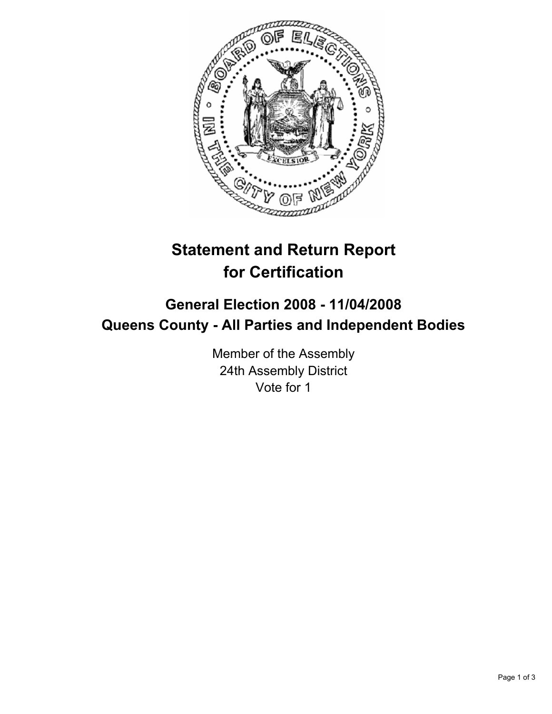

# **Statement and Return Report for Certification**

# **General Election 2008 - 11/04/2008 Queens County - All Parties and Independent Bodies**

Member of the Assembly 24th Assembly District Vote for 1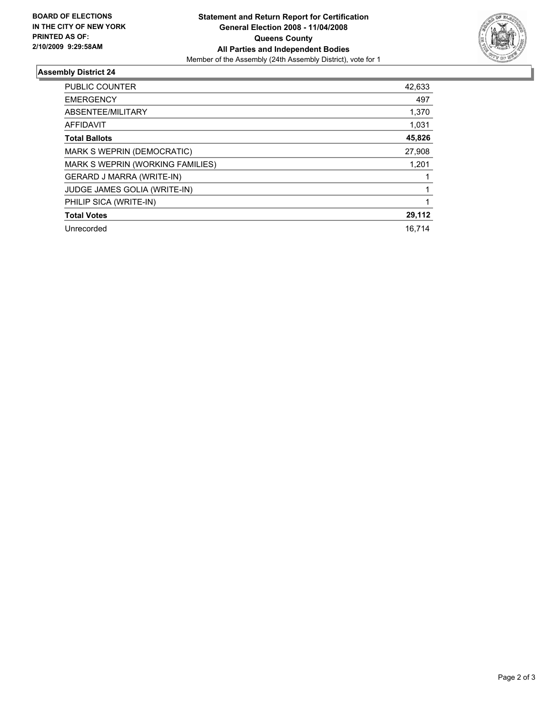

## **Assembly District 24**

| PUBLIC COUNTER                   | 42,633 |
|----------------------------------|--------|
| <b>EMERGENCY</b>                 | 497    |
| ABSENTEE/MILITARY                | 1,370  |
| <b>AFFIDAVIT</b>                 | 1,031  |
| <b>Total Ballots</b>             | 45,826 |
| MARK S WEPRIN (DEMOCRATIC)       | 27,908 |
| MARK S WEPRIN (WORKING FAMILIES) | 1,201  |
| GERARD J MARRA (WRITE-IN)        |        |
| JUDGE JAMES GOLIA (WRITE-IN)     |        |
| PHILIP SICA (WRITE-IN)           |        |
| <b>Total Votes</b>               | 29,112 |
| Unrecorded                       | 16,714 |